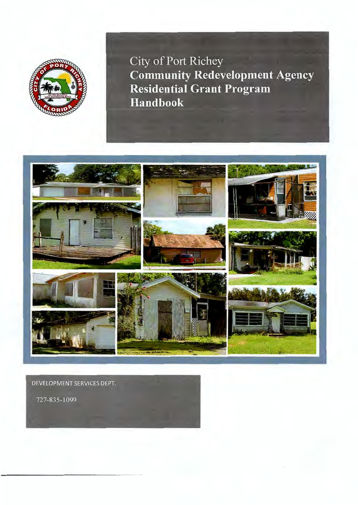

City of Port Richey **Community Redevelopment Agency Residential Grant Program Handbook** 



DEVELOPMENT SERVICES DEPT.

727-835-1099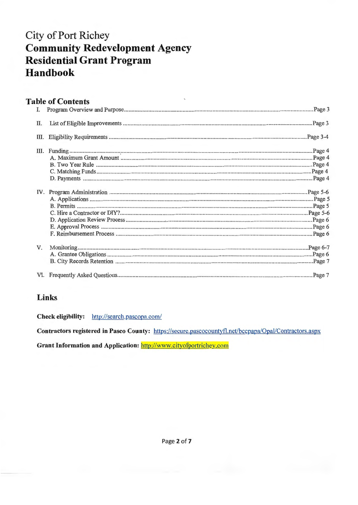# **City of Port Richey Community Redevelopment Agency Residential Grant Program Handbook**

## **Table of Contents**

| Ι. |  |
|----|--|
| П. |  |
| Ш. |  |
|    |  |
|    |  |
| V. |  |
|    |  |

## Links

Check eligibility: http://search.pascopa.com/

Contractors registered in Pasco County: https://secure.pascocountyfl.net/bccpapa/Opal/Contractors.aspx

Grant Information and Application: http://www.cityofportrichey.com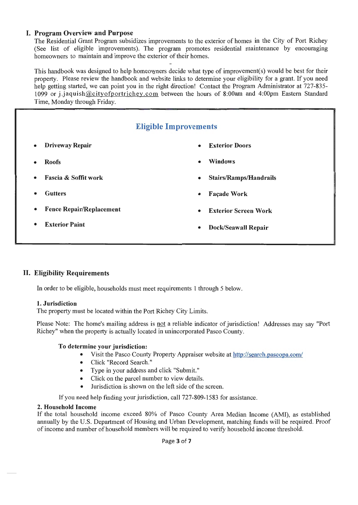## **I. Program Overview and Purpose**

The Residential Grant Program subsidizes improvements to the exterior of homes in the City of Port Richey (See list of eligible improvements). The program promotes residential maintenance by encouraging homeowners to maintain and improve the exterior of their homes.

This handbook was designed to help homeowners decide what type of improvement(s) would be best for their property. Please review the handbook and website links to determine your eligibility for a grant. If you need help getting started, we can point you in the right direction! Contact the Program Administrator at 727-835-1099 or j.jaquish@cityofportrichey.com between the hours of 8:00am and 4:00pm Eastern Standard Time, Monday through Friday.

# **Eligible Improvements**

- 
- 
- 
- 
- **Fence Repair/Replacement Exterior Screen Work**
- 
- **Driveway Repair Exterior Doors**
- **Roofs Windows** 
	- **Fascia & Soffit work Stairs/Ramps/Handrails**
	- **Facade Work Facade Work Facade Work** 
		-
	- **Exterior Paint Dock/Seawall Repair**

## **II. Eligibility Requirements**

In order to be eligible, households must meet requirements 1 through 5 below.

## **1. Jurisdiction**

The property must be located within the Port Richey City Limits.

Please Note: The home's mailing address is not a reliable indicator of jurisdiction! Addresses may say "Port Richey" when the property is actually located in unincorporated Pasco County.

#### **To determine your jurisdiction:**

- Visit the Pasco County Property Appraiser website at http://search.pascopa.com/
- Click "Record Search."
- Type in your address and click "Submit."
- Click on the parcel number to view details.
- Jurisdiction is shown on the left side of the screen.

If you need help finding your jurisdiction, call 727-809-1583 for assistance.

#### **2. Household Income**

If the total household income exceed 80% of Pasco County Area Median Income (AMI), as established annually by the U.S. Department of Housing and Urban Development, matching funds will be required. Proof of income and number of household members will be required to verify household income threshold.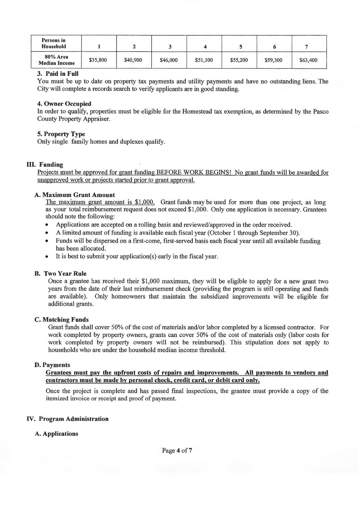| Persons in<br>Household          |          |          |          |          |          |          |          |
|----------------------------------|----------|----------|----------|----------|----------|----------|----------|
| 80% Area<br><b>Median Income</b> | \$35,800 | \$40,900 | \$46,000 | \$51,100 | \$55,200 | \$59,300 | \$63,400 |

#### **3. Paid in Full**

You must be up to date on property tax payments and utility payments and have no outstanding liens. The City will complete a records search to verify applicants are in good standing.

#### **4. Owner Occupied**

In order to qualify, properties must be eligible for the Homestead tax exemption, as determined by the Pasco County Property Appraiser.

## **5. Property Type**

Only single family homes and duplexes qualify.

#### III. Funding

Projects must be approved for grant funding BEFORE WORK BEGINS! No grant funds will be awarded for unapproved work or projects started prior to grant approval.

#### **A. Maximum Grant Amount**

The maximum grant amount is \$1,000. Grant funds may be used for more than one project, as long as your total reimbursement request does not exceed \$1 ,000. Only one application is necessary. Grantees should note the following:

- Applications are accepted on a rolling basis and reviewed/approved in the order received.
- A limited amount of funding is available each fiscal year (October 1 through September 30).
- Funds will be dispersed on a first-come, first-served basis each fiscal year until all available funding has been allocated.
- It is best to submit your application(s) early in the fiscal year.

#### **B. Two Year Rule**

Once a grantee has received their \$1 ,000 maximum, they will be eligible to apply for a new grant two years from the date of their last reimbursement check (providing the program is still operating and funds are available). Only homeowners that maintain the subsidized improvements will be eligible for additional grants.

#### **C. Matching Funds**

Grant funds shall cover 50% of the cost of materials and/or labor completed by a licensed contractor. For work completed by property owners, grants can cover 50% of the cost of materials only (labor costs for work completed by property owners will not be reimbursed). This stipulation does not apply to households who are under the household median income threshold.

#### **D. Payments**

#### **Grantees must pay the upfront costs of repairs and improvements. All pavments to vendors and contractors must be made by personal check, credit card, or debit card only.**

Once the project is complete and has passed final inspections, the grantee must provide a copy of the itemized invoice or receipt and proof of payment.

#### IV. **Program Administration**

#### **A. Applications**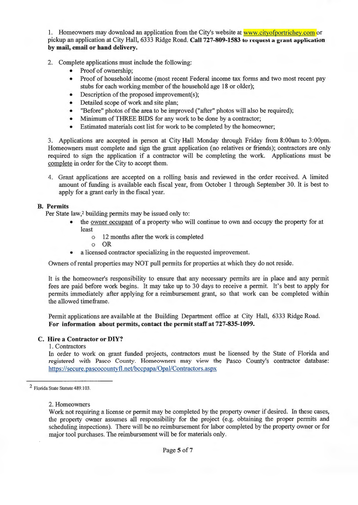1. Homeowners may download an application from the City's website at www.cityofportrichey.com or pickup an application at City Hall, 6333 Ridge Road. **Call 727-809-1583 to request a grant application by mail, email or hand delivery.** 

- 2. Complete applications must include the following:
	- Proof of ownership:
	- Proof of household income (most recent Federal income tax forms and two most recent pay stubs for each working member of the household age 18 or older);
	- Description of the proposed improvement(s);
	- Detailed scope of work and site plan;
	- "Before" photos of the area to be improved ("after" photos will also be required);
	- Minimum of THREE BIDS for any work to be done by a contractor;
	- Estimated materials cost list for work to be completed by the homeowner;

3. Applications are accepted in person at City Hall Monday through Friday from 8:00am to 3:00pm. Homeowners must complete and sign the grant application (no relatives or friends); contractors are only required to sign the application if a contractor will be completing the work. Applications must be complete in order for the City to accept them.

4. Grant applications are accepted on a rolling basis and reviewed in the order received. A limited amount of funding is available each fiscal year, from October 1 through September 30. It is best to apply for a grant early in the fiscal year.

## **B. Permits**

Per State law,2 building permits may be issued only to:

- the owner occupant of a property who will continue to own and occupy the property for at least
	- o 12 months after the work is completed
	- o OR
- a licensed contractor specializing in the requested improvement.

Owners of rental properties may NOT pull permits for properties at which they do not reside.

It is the homeowner's responsibility to ensure that any necessary permits are in place and any permit fees are paid before work begins. It may take up to 30 days to receive a permit. It's best to apply for permits immediately after applying for a reimbursement grant, so that work can be completed within the allowed timeframe.

Permit applications are available at the Building Department office at City Hall, 6333 Ridge Road. **For information about permits, contact the permit staff at 727-835-1099.** 

## **C. Hire a Contractor or DIY?**

#### 1. Contractors

In order to work on grant funded projects, contractors must be licensed by the State of Florida and registered with Pasco County. Homeowners may view the Pasco County's contractor database: https://secure.pascocountyfl.net/bccpapa/Opal/Contractors.aspx

2. Homeowners

<sup>2</sup> Florida State Statute 489.103.

Work not requiring a license or permit may be completed by the property owner if desired. In these cases, the property owner assumes all responsibility for the project ( e.g. obtaining the proper permits and scheduling inspections). There will be no reimbursement for labor completed by the property owner or for major tool purchases. The reimbursement will be for materials only.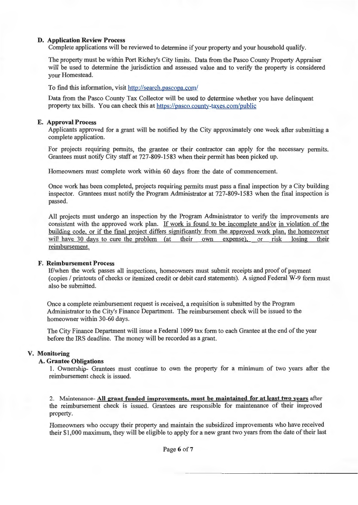#### **D. Application Review Process**

Complete applications will be reviewed to determine if your property and your household qualify.

The property must be within Port Richey's City limits. Data from the Pasco County Property Appraiser will be used to determine the jurisdiction and assessed value and to verify the property is considered your Homestead.

To find this information, visit http://search.pascopa.com/

Data from the Pasco County Tax Collector will be used to determine whether you have delinquent property tax bills. You can check this at https://pasco.county-taxes.com/public

#### **E. Approval Process**

Applicants approved for a grant will be notified by the City approximately one week after submitting a complete application.

For projects requiring permits, the grantee or their contractor can apply for the necessary permits. Grantees must notify City staff at 727-809-1583 when their permit has been picked up.

Homeowners must complete work within 60 days from the date of commencement.

Once work has been completed, projects requiring permits must pass a final inspection by a City building inspector. Grantees must notify the Program Administrator at 727-809-1583 when the final inspection is passed.

All projects must undergo an inspection by the Program Administrator to verify the improvements are consistent with the approved work plan. If work is found to be incomplete and/or in violation of the building code. or if the final project differs significantly from the approved work plan, the homeowner will have 30 days to cure the problem (at their own expense), or risk losing their reimbursement.

#### **F. Reimbursement Process**

If/when the work passes all inspections, homeowners must submit receipts and proof of payment (copies/ printouts of checks or itemized credit or debit card statements). A signed Federal W-9 form must also be submitted.

Once a complete reimbursement request is received, a requisition is submitted by the Program Administrator to the City's Finance Department. The reimbursement check will be issued to the homeowner within 30-60 days.

The City Finance Department will issue a Federal 1099 tax form to each Grantee at the end of the year before the IRS deadline. The money will be recorded as a grant.

#### **V. Monitoring**

#### **A. Grantee Obligations**

1. Ownership- Grantees must continue to own the property for a minimum of two years after the reimbursement check is issued.

2. Maintenance- **All grant funded improvements, must be maintained for at least two vears** after the reimbursement check is issued. Grantees are responsible for maintenance of their improved property.

Homeowners who occupy their property and maintain the subsidized improvements who have received their \$1,000 maximum, they will be eligible to apply for a new grant two years from the date of their last